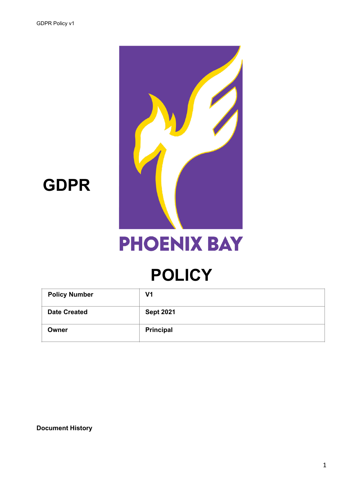

## **GDPR**

# **PHOENIX BAY**

## **POLICY**

| <b>Policy Number</b> | V1               |
|----------------------|------------------|
| <b>Date Created</b>  | <b>Sept 2021</b> |
| Owner                | <b>Principal</b> |

**Document History**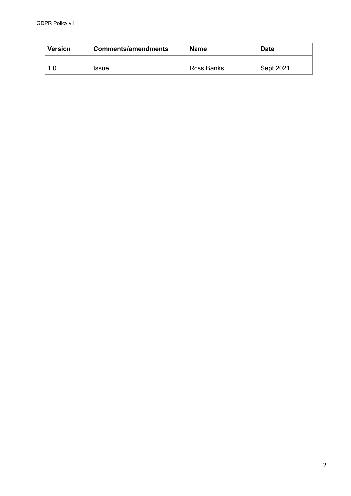| Version | <b>Comments/amendments</b> | Name       | <b>Date</b> |
|---------|----------------------------|------------|-------------|
| 1 O     | <b>Issue</b>               | Ross Banks | Sept 2021   |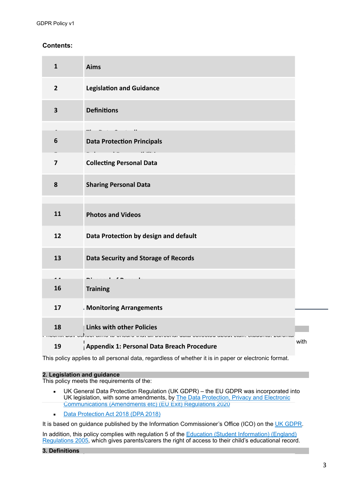## **Contents:**

| $\mathbf{1}$            | <b>Aims</b>                                            |      |
|-------------------------|--------------------------------------------------------|------|
| $\overline{2}$          | <b>Legislation and Guidance</b>                        |      |
| $\overline{\mathbf{3}}$ | <b>Definitions</b>                                     |      |
|                         |                                                        |      |
| 6                       | <b>Data Protection Principals</b>                      |      |
| $\overline{7}$          | <b>Collecting Personal Data</b>                        |      |
| 8                       | <b>Sharing Personal Data</b>                           |      |
| 11                      | <b>Photos and Videos</b>                               |      |
| 12                      | Data Protection by design and default                  |      |
| 13                      | <b>Data Security and Storage of Records</b>            |      |
|                         |                                                        |      |
| 16                      | <b>Training</b>                                        |      |
| 17                      | - Monitoring Arrangements                              |      |
| 18                      | <b>Links with other Policies</b><br>u that an puruunan |      |
| 19                      | Appendix 1: Personal Data Breach Procedure             | with |

This policy applies to all personal data, regardless of whether it is in paper or electronic format.

#### **2. Legislation and guidance**

This policy meets the requirements of the:

- UK General Data Protection Regulation (UK GDPR) the EU GDPR was incorporated into UK legislation, with some amendments, by [The Data Protection, Privacy and Electronic](https://www.legislation.gov.uk/uksi/2020/1586/made)  [Communications \(Amendments etc\) \(EU Exit\) Regulations 2020](https://www.legislation.gov.uk/uksi/2020/1586/made)
- **[Data Protection Act 2018 \(DPA 2018\)](http://www.legislation.gov.uk/ukpga/2018/12/contents/enacted)**

It is based on guidance published by the Information Commissioner's Office (ICO) on the [UK GDPR](https://ico.org.uk/for-organisations/guide-to-data-protection/guide-to-the-general-data-protection-regulation-gdpr/).

In addition, this policy complies with regulation 5 of the Education (Student Information) (England) [Regulations 2005,](http://www.legislation.gov.uk/uksi/2005/1437/regulation/5/made) which gives parents/carers the right of access to their child's educational record.

#### **3. Definitions**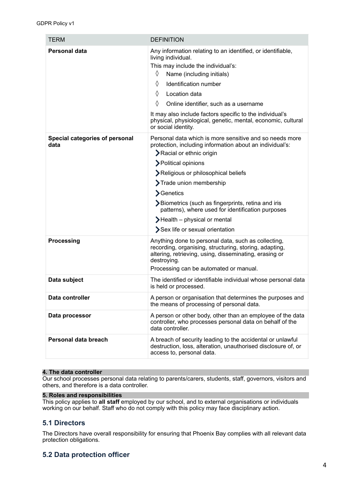| <b>TERM</b>                            | <b>DEFINITION</b>                                                                                                                                                                                                                                                                                                                                                                                                                         |
|----------------------------------------|-------------------------------------------------------------------------------------------------------------------------------------------------------------------------------------------------------------------------------------------------------------------------------------------------------------------------------------------------------------------------------------------------------------------------------------------|
| Personal data                          | Any information relating to an identified, or identifiable,<br>living individual.<br>This may include the individual's:<br>♦<br>Name (including initials)<br>♦<br>Identification number<br>♦<br>Location data<br>♦<br>Online identifier, such as a username<br>It may also include factors specific to the individual's<br>physical, physiological, genetic, mental, economic, cultural<br>or social identity.                            |
| Special categories of personal<br>data | Personal data which is more sensitive and so needs more<br>protection, including information about an individual's:<br><b>&gt;</b> Racial or ethnic origin<br>>Political opinions<br>Religious or philosophical beliefs<br>Trade union membership<br>Senetics<br>>Biometrics (such as fingerprints, retina and iris<br>patterns), where used for identification purposes<br>Health - physical or mental<br>Sex life or sexual orientation |
| Processing                             | Anything done to personal data, such as collecting,<br>recording, organising, structuring, storing, adapting,<br>altering, retrieving, using, disseminating, erasing or<br>destroying.<br>Processing can be automated or manual.                                                                                                                                                                                                          |
| Data subject                           | The identified or identifiable individual whose personal data<br>is held or processed.                                                                                                                                                                                                                                                                                                                                                    |
| Data controller                        | A person or organisation that determines the purposes and<br>the means of processing of personal data.                                                                                                                                                                                                                                                                                                                                    |
| Data processor                         | A person or other body, other than an employee of the data<br>controller, who processes personal data on behalf of the<br>data controller.                                                                                                                                                                                                                                                                                                |
| Personal data breach                   | A breach of security leading to the accidental or unlawful<br>destruction, loss, alteration, unauthorised disclosure of, or<br>access to, personal data.                                                                                                                                                                                                                                                                                  |

## **4. The data controller**

Our school processes personal data relating to parents/carers, students, staff, governors, visitors and others, and therefore is a data controller.

## **5. Roles and responsibilities**

This policy applies to **all staff** employed by our school, and to external organisations or individuals working on our behalf. Staff who do not comply with this policy may face disciplinary action.

## **5.1 Directors**

The Directors have overall responsibility for ensuring that Phoenix Bay complies with all relevant data protection obligations.

## **5.2 Data protection officer**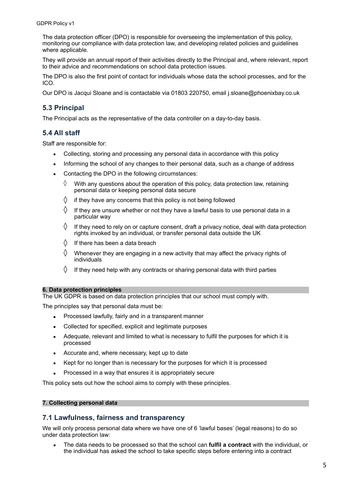The data protection officer (DPO) is responsible for overseeing the implementation of this policy, monitoring our compliance with data protection law, and developing related policies and guidelines where applicable.

They will provide an annual report of their activities directly to the Principal and, where relevant, report to their advice and recommendations on school data protection issues.

The DPO is also the first point of contact for individuals whose data the school processes, and for the ICO.

Our DPO is Jacqui Sloane and is contactable via 01803 220750, email j.sloane@phoenixbay.co.uk

## **5.3 Principal**

The Principal acts as the representative of the data controller on a day-to-day basis.

## **5.4 All staff**

Staff are responsible for:

- Collecting, storing and processing any personal data in accordance with this policy
- **EXECT** Informing the school of any changes to their personal data, such as a change of address
- Contacting the DPO in the following circumstances:
	- $\Diamond$  With any questions about the operation of this policy, data protection law, retaining personal data or keeping personal data secure
	- $\Diamond$  if they have any concerns that this policy is not being followed
	- $\Diamond$  If they are unsure whether or not they have a lawful basis to use personal data in a particular way
	- $\Diamond$  If they need to rely on or capture consent, draft a privacy notice, deal with data protection rights invoked by an individual, or transfer personal data outside the UK
	- $\Diamond$  If there has been a data breach
	- $\Diamond$  Whenever they are engaging in a new activity that may affect the privacy rights of individuals
	- $\Diamond$  If they need help with any contracts or sharing personal data with third parties

#### **6. Data protection principles**

The UK GDPR is based on data protection principles that our school must comply with.

The principles say that personal data must be:

- Processed lawfully, fairly and in a transparent manner
- Collected for specified, explicit and legitimate purposes
- **EXECUTE:** Adequate, relevant and limited to what is necessary to fulfil the purposes for which it is processed
- **EXECUTE Accurate and, where necessary, kept up to date**
- Kept for no longer than is necessary for the purposes for which it is processed
- Processed in a way that ensures it is appropriately secure

This policy sets out how the school aims to comply with these principles.

#### **7. Collecting personal data**

## **7.1 Lawfulness, fairness and transparency**

We will only process personal data where we have one of 6 'lawful bases' (legal reasons) to do so under data protection law:

▪ The data needs to be processed so that the school can **fulfil a contract** with the individual, or the individual has asked the school to take specific steps before entering into a contract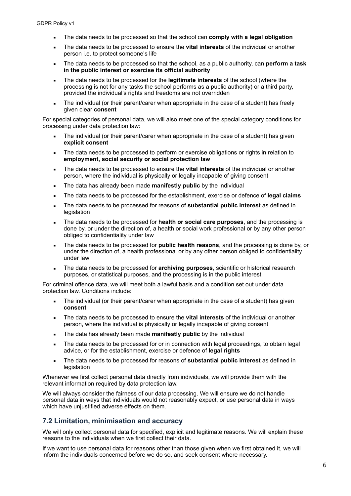- The data needs to be processed so that the school can **comply with a legal obligation**
- The data needs to be processed to ensure the **vital interests** of the individual or another person i.e. to protect someone's life
- The data needs to be processed so that the school, as a public authority, can **perform a task in the public interest or exercise its official authority**
- The data needs to be processed for the **legitimate interests** of the school (where the processing is not for any tasks the school performs as a public authority) or a third party, provided the individual's rights and freedoms are not overridden
- The individual (or their parent/carer when appropriate in the case of a student) has freely given clear **consent**

For special categories of personal data, we will also meet one of the special category conditions for processing under data protection law:

- The individual (or their parent/carer when appropriate in the case of a student) has given **explicit consent**
- The data needs to be processed to perform or exercise obligations or rights in relation to **employment, social security or social protection law**
- The data needs to be processed to ensure the **vital interests** of the individual or another person, where the individual is physically or legally incapable of giving consent
- **EXECT** The data has already been made **manifestly public** by the individual
- The data needs to be processed for the establishment, exercise or defence of **legal claims**
- The data needs to be processed for reasons of **substantial public interest** as defined in legislation
- The data needs to be processed for **health or social care purposes**, and the processing is done by, or under the direction of, a health or social work professional or by any other person obliged to confidentiality under law
- The data needs to be processed for **public health reasons**, and the processing is done by, or under the direction of, a health professional or by any other person obliged to confidentiality under law
- The data needs to be processed for **archiving purposes**, scientific or historical research purposes, or statistical purposes, and the processing is in the public interest

For criminal offence data, we will meet both a lawful basis and a condition set out under data protection law. Conditions include:

- The individual (or their parent/carer when appropriate in the case of a student) has given **consent**
- The data needs to be processed to ensure the **vital interests** of the individual or another person, where the individual is physically or legally incapable of giving consent
- **EXECT** The data has already been made **manifestly public** by the individual
- The data needs to be processed for or in connection with legal proceedings, to obtain legal advice, or for the establishment, exercise or defence of **legal rights**
- The data needs to be processed for reasons of **substantial public interest** as defined in **legislation**

Whenever we first collect personal data directly from individuals, we will provide them with the relevant information required by data protection law.

We will always consider the fairness of our data processing. We will ensure we do not handle personal data in ways that individuals would not reasonably expect, or use personal data in ways which have unjustified adverse effects on them.

## **7.2 Limitation, minimisation and accuracy**

We will only collect personal data for specified, explicit and legitimate reasons. We will explain these reasons to the individuals when we first collect their data.

If we want to use personal data for reasons other than those given when we first obtained it, we will inform the individuals concerned before we do so, and seek consent where necessary.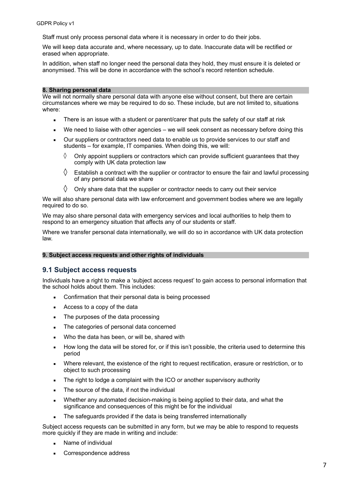Staff must only process personal data where it is necessary in order to do their jobs.

We will keep data accurate and, where necessary, up to date. Inaccurate data will be rectified or erased when appropriate.

In addition, when staff no longer need the personal data they hold, they must ensure it is deleted or anonymised. This will be done in accordance with the school's record retention schedule.

#### **8. Sharing personal data**

We will not normally share personal data with anyone else without consent, but there are certain circumstances where we may be required to do so. These include, but are not limited to, situations where:

- **EXECT** There is an issue with a student or parent/carer that puts the safety of our staff at risk
- We need to liaise with other agencies we will seek consent as necessary before doing this
- **•** Our suppliers or contractors need data to enable us to provide services to our staff and students – for example, IT companies. When doing this, we will:
	- $\Diamond$  Only appoint suppliers or contractors which can provide sufficient guarantees that they comply with UK data protection law
	- $\Diamond$  Establish a contract with the supplier or contractor to ensure the fair and lawful processing of any personal data we share
	- $\Diamond$  Only share data that the supplier or contractor needs to carry out their service

We will also share personal data with law enforcement and government bodies where we are legally required to do so.

We may also share personal data with emergency services and local authorities to help them to respond to an emergency situation that affects any of our students or staff.

Where we transfer personal data internationally, we will do so in accordance with UK data protection law.

#### **9. Subject access requests and other rights of individuals**

## **9.1 Subject access requests**

Individuals have a right to make a 'subject access request' to gain access to personal information that the school holds about them. This includes:

- Confirmation that their personal data is being processed
- Access to a copy of the data
- The purposes of the data processing
- The categories of personal data concerned
- Who the data has been, or will be, shared with
- How long the data will be stored for, or if this isn't possible, the criteria used to determine this period
- Where relevant, the existence of the right to request rectification, erasure or restriction, or to object to such processing
- **•** The right to lodge a complaint with the ICO or another supervisory authority
- **•** The source of the data, if not the individual
- Whether any automated decision-making is being applied to their data, and what the significance and consequences of this might be for the individual
- The safeguards provided if the data is being transferred internationally

Subject access requests can be submitted in any form, but we may be able to respond to requests more quickly if they are made in writing and include:

- Name of individual
- Correspondence address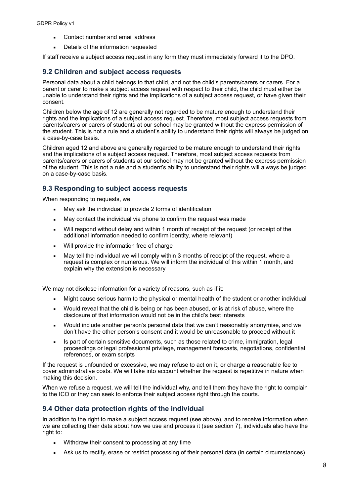- Contact number and email address
- Details of the information requested

If staff receive a subject access request in any form they must immediately forward it to the DPO.

### **9.2 Children and subject access requests**

Personal data about a child belongs to that child, and not the child's parents/carers or carers. For a parent or carer to make a subject access request with respect to their child, the child must either be unable to understand their rights and the implications of a subject access request, or have given their consent.

Children below the age of 12 are generally not regarded to be mature enough to understand their rights and the implications of a subject access request. Therefore, most subject access requests from parents/carers or carers of students at our school may be granted without the express permission of the student. This is not a rule and a student's ability to understand their rights will always be judged on a case-by-case basis.

Children aged 12 and above are generally regarded to be mature enough to understand their rights and the implications of a subject access request. Therefore, most subject access requests from parents/carers or carers of students at our school may not be granted without the express permission of the student. This is not a rule and a student's ability to understand their rights will always be judged on a case-by-case basis.

## **9.3 Responding to subject access requests**

When responding to requests, we:

- May ask the individual to provide 2 forms of identification
- May contact the individual via phone to confirm the request was made
- Will respond without delay and within 1 month of receipt of the request (or receipt of the additional information needed to confirm identity, where relevant)
- Will provide the information free of charge
- **■** May tell the individual we will comply within 3 months of receipt of the request, where a request is complex or numerous. We will inform the individual of this within 1 month, and explain why the extension is necessary

We may not disclose information for a variety of reasons, such as if it:

- Might cause serious harm to the physical or mental health of the student or another individual
- **•** Would reveal that the child is being or has been abused, or is at risk of abuse, where the disclosure of that information would not be in the child's best interests
- Would include another person's personal data that we can't reasonably anonymise, and we don't have the other person's consent and it would be unreasonable to proceed without it
- **•** Is part of certain sensitive documents, such as those related to crime, immigration, legal proceedings or legal professional privilege, management forecasts, negotiations, confidential references, or exam scripts

If the request is unfounded or excessive, we may refuse to act on it, or charge a reasonable fee to cover administrative costs. We will take into account whether the request is repetitive in nature when making this decision.

When we refuse a request, we will tell the individual why, and tell them they have the right to complain to the ICO or they can seek to enforce their subject access right through the courts.

## **9.4 Other data protection rights of the individual**

In addition to the right to make a subject access request (see above), and to receive information when we are collecting their data about how we use and process it (see section 7), individuals also have the right to:

- Withdraw their consent to processing at any time
- Ask us to rectify, erase or restrict processing of their personal data (in certain circumstances)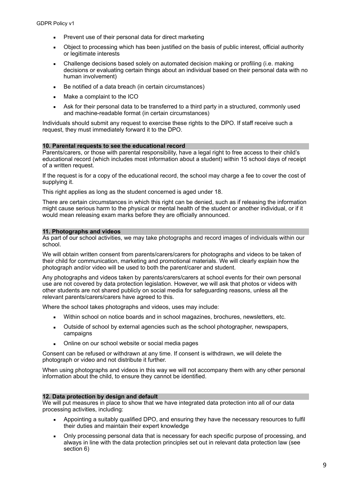- Prevent use of their personal data for direct marketing
- Object to processing which has been justified on the basis of public interest, official authority or legitimate interests
- Challenge decisions based solely on automated decision making or profiling (i.e. making decisions or evaluating certain things about an individual based on their personal data with no human involvement)
- Be notified of a data breach (in certain circumstances)
- Make a complaint to the ICO
- Ask for their personal data to be transferred to a third party in a structured, commonly used and machine-readable format (in certain circumstances)

Individuals should submit any request to exercise these rights to the DPO. If staff receive such a request, they must immediately forward it to the DPO.

#### **10. Parental requests to see the educational record**

Parents/carers, or those with parental responsibility, have a legal right to free access to their child's educational record (which includes most information about a student) within 15 school days of receipt of a written request.

If the request is for a copy of the educational record, the school may charge a fee to cover the cost of supplying it.

This right applies as long as the student concerned is aged under 18.

There are certain circumstances in which this right can be denied, such as if releasing the information might cause serious harm to the physical or mental health of the student or another individual, or if it would mean releasing exam marks before they are officially announced.

#### **11. Photographs and videos**

As part of our school activities, we may take photographs and record images of individuals within our school.

We will obtain written consent from parents/carers/carers for photographs and videos to be taken of their child for communication, marketing and promotional materials. We will clearly explain how the photograph and/or video will be used to both the parent/carer and student.

Any photographs and videos taken by parents/carers/carers at school events for their own personal use are not covered by data protection legislation. However, we will ask that photos or videos with other students are not shared publicly on social media for safeguarding reasons, unless all the relevant parents/carers/carers have agreed to this.

Where the school takes photographs and videos, uses may include:

- Within school on notice boards and in school magazines, brochures, newsletters, etc.
- **■** Outside of school by external agencies such as the school photographer, newspapers, campaigns
- Online on our school website or social media pages

Consent can be refused or withdrawn at any time. If consent is withdrawn, we will delete the photograph or video and not distribute it further.

When using photographs and videos in this way we will not accompany them with any other personal information about the child, to ensure they cannot be identified.

#### **12. Data protection by design and default**

We will put measures in place to show that we have integrated data protection into all of our data processing activities, including:

- Appointing a suitably qualified DPO, and ensuring they have the necessary resources to fulfil their duties and maintain their expert knowledge
- Only processing personal data that is necessary for each specific purpose of processing, and always in line with the data protection principles set out in relevant data protection law (see section 6)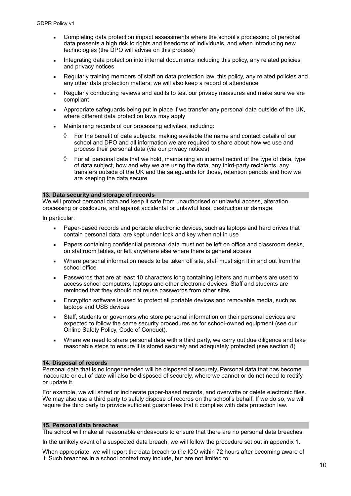- **•** Completing data protection impact assessments where the school's processing of personal data presents a high risk to rights and freedoms of individuals, and when introducing new technologies (the DPO will advise on this process)
- **EXEDENT Integrating data protection into internal documents including this policy, any related policies** and privacy notices
- Regularly training members of staff on data protection law, this policy, any related policies and any other data protection matters; we will also keep a record of attendance
- Regularly conducting reviews and audits to test our privacy measures and make sure we are compliant
- **•** Appropriate safeguards being put in place if we transfer any personal data outside of the UK, where different data protection laws may apply
- Maintaining records of our processing activities, including:
	- $\Diamond$  For the benefit of data subjects, making available the name and contact details of our school and DPO and all information we are required to share about how we use and process their personal data (via our privacy notices)
	- $\Diamond$  For all personal data that we hold, maintaining an internal record of the type of data, type of data subject, how and why we are using the data, any third-party recipients, any transfers outside of the UK and the safeguards for those, retention periods and how we are keeping the data secure

#### **13. Data security and storage of records**

We will protect personal data and keep it safe from unauthorised or unlawful access, alteration, processing or disclosure, and against accidental or unlawful loss, destruction or damage.

In particular:

- Paper-based records and portable electronic devices, such as laptops and hard drives that contain personal data, are kept under lock and key when not in use
- **EXECT:** Papers containing confidential personal data must not be left on office and classroom desks, on staffroom tables, or left anywhere else where there is general access
- Where personal information needs to be taken off site, staff must sign it in and out from the school office
- **EXECT** Passwords that are at least 10 characters long containing letters and numbers are used to access school computers, laptops and other electronic devices. Staff and students are reminded that they should not reuse passwords from other sites
- **Encryption software is used to protect all portable devices and removable media, such as** laptops and USB devices
- Staff, students or governors who store personal information on their personal devices are expected to follow the same security procedures as for school-owned equipment (see our Online Safety Policy, Code of Conduct).
- Where we need to share personal data with a third party, we carry out due diligence and take reasonable steps to ensure it is stored securely and adequately protected (see section 8)

#### **14. Disposal of records**

Personal data that is no longer needed will be disposed of securely. Personal data that has become inaccurate or out of date will also be disposed of securely, where we cannot or do not need to rectify or update it.

For example, we will shred or incinerate paper-based records, and overwrite or delete electronic files. We may also use a third party to safely dispose of records on the school's behalf. If we do so, we will require the third party to provide sufficient guarantees that it complies with data protection law.

#### **15. Personal data breaches**

The school will make all reasonable endeavours to ensure that there are no personal data breaches.

In the unlikely event of a suspected data breach, we will follow the procedure set out in appendix 1.

When appropriate, we will report the data breach to the ICO within 72 hours after becoming aware of it. Such breaches in a school context may include, but are not limited to: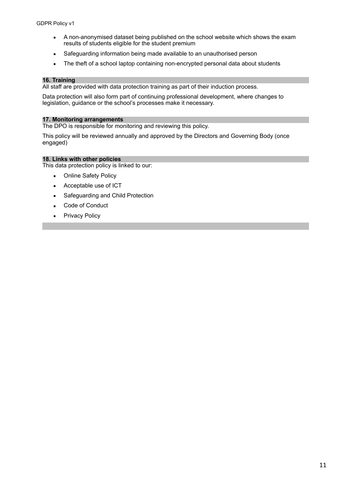- **EXECT** A non-anonymised dataset being published on the school website which shows the exam results of students eligible for the student premium
- **EXECT** Safeguarding information being made available to an unauthorised person
- The theft of a school laptop containing non-encrypted personal data about students

#### **16. Training**

All staff are provided with data protection training as part of their induction process.

Data protection will also form part of continuing professional development, where changes to legislation, guidance or the school's processes make it necessary.

### **17. Monitoring arrangements**

The DPO is responsible for monitoring and reviewing this policy.

This policy will be reviewed annually and approved by the Directors and Governing Body (once engaged)

## **18. Links with other policies**

This data protection policy is linked to our:

- Online Safety Policy
- Acceptable use of ICT
- Safeguarding and Child Protection
- Code of Conduct
- **•** Privacy Policy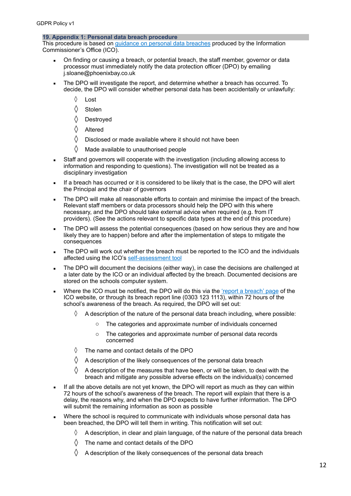#### **19. Appendix 1: Personal data breach procedure**

This procedure is based on [guidance on personal data breaches](https://ico.org.uk/for-organisations/guide-to-the-general-data-protection-regulation-gdpr/personal-data-breaches/) produced by the Information Commissioner's Office (ICO).

- On finding or causing a breach, or potential breach, the staff member, governor or data processor must immediately notify the data protection officer (DPO) by emailing j.sloane@phoenixbay.co.uk
- The DPO will investigate the report, and determine whether a breach has occurred. To decide, the DPO will consider whether personal data has been accidentally or unlawfully:
	- ◊ Lost
	- ◊ Stolen
	- ◊ Destroyed
	- ◊ Altered
	- $\Diamond$  Disclosed or made available where it should not have been
	- $\Diamond$  Made available to unauthorised people
- Staff and governors will cooperate with the investigation (including allowing access to information and responding to questions). The investigation will not be treated as a disciplinary investigation
- **.** If a breach has occurred or it is considered to be likely that is the case, the DPO will alert the Principal and the chair of governors
- The DPO will make all reasonable efforts to contain and minimise the impact of the breach. Relevant staff members or data processors should help the DPO with this where necessary, and the DPO should take external advice when required (e.g. from IT providers). (See the actions relevant to specific data types at the end of this procedure)
- **The DPO will assess the potential consequences (based on how serious they are and how** likely they are to happen) before and after the implementation of steps to mitigate the consequences
- The DPO will work out whether the breach must be reported to the ICO and the individuals affected using the ICO's [self-assessment tool](https://ico.org.uk/for-organisations/report-a-breach/personal-data-breach-assessment/)
- **The DPO will document the decisions (either way), in case the decisions are challenged at** a later date by the ICO or an individual affected by the breach. Documented decisions are stored on the schools computer system.
- Where the ICO must be notified, the DPO will do this via the ['report a breach' page](https://ico.org.uk/for-organisations/report-a-breach/) of the ICO website, or through its breach report line (0303 123 1113), within 72 hours of the school's awareness of the breach. As required, the DPO will set out:
	- $\Diamond$  A description of the nature of the personal data breach including, where possible:
		- o The categories and approximate number of individuals concerned
		- o The categories and approximate number of personal data records concerned
	- $\Diamond$  The name and contact details of the DPO
	- $\Diamond$  A description of the likely consequences of the personal data breach
	- $\Diamond$  A description of the measures that have been, or will be taken, to deal with the breach and mitigate any possible adverse effects on the individual(s) concerned
- **.** If all the above details are not yet known, the DPO will report as much as they can within 72 hours of the school's awareness of the breach. The report will explain that there is a delay, the reasons why, and when the DPO expects to have further information. The DPO will submit the remaining information as soon as possible
- Where the school is required to communicate with individuals whose personal data has been breached, the DPO will tell them in writing. This notification will set out:
	- $\Diamond$  A description, in clear and plain language, of the nature of the personal data breach
	- $\Diamond$  The name and contact details of the DPO
	- $\Diamond$  A description of the likely consequences of the personal data breach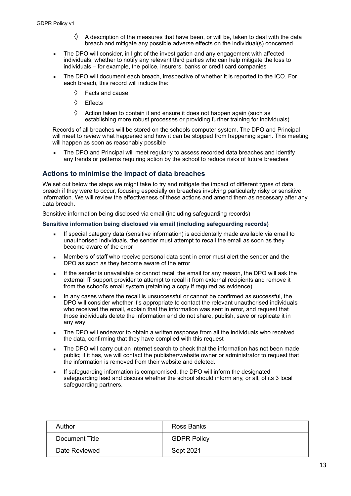- A description of the measures that have been, or will be, taken to deal with the data breach and mitigate any possible adverse effects on the individual(s) concerned
- The DPO will consider, in light of the investigation and any engagement with affected individuals, whether to notify any relevant third parties who can help mitigate the loss to individuals – for example, the police, insurers, banks or credit card companies
- The DPO will document each breach, irrespective of whether it is reported to the ICO. For each breach, this record will include the:
	- $\Diamond$  Facts and cause
	- ◊ Effects
	- $\Diamond$  Action taken to contain it and ensure it does not happen again (such as establishing more robust processes or providing further training for individuals)

Records of all breaches will be stored on the schools computer system. The DPO and Principal will meet to review what happened and how it can be stopped from happening again. This meeting will happen as soon as reasonably possible

The DPO and Principal will meet reqularly to assess recorded data breaches and identify any trends or patterns requiring action by the school to reduce risks of future breaches

## **Actions to minimise the impact of data breaches**

We set out below the steps we might take to try and mitigate the impact of different types of data breach if they were to occur, focusing especially on breaches involving particularly risky or sensitive information. We will review the effectiveness of these actions and amend them as necessary after any data breach.

Sensitive information being disclosed via email (including safeguarding records)

#### **Sensitive information being disclosed via email (including safeguarding records)**

- If special category data (sensitive information) is accidentally made available via email to unauthorised individuals, the sender must attempt to recall the email as soon as they become aware of the error
- Members of staff who receive personal data sent in error must alert the sender and the DPO as soon as they become aware of the error
- **.** If the sender is unavailable or cannot recall the email for any reason, the DPO will ask the external IT support provider to attempt to recall it from external recipients and remove it from the school's email system (retaining a copy if required as evidence)
- In any cases where the recall is unsuccessful or cannot be confirmed as successful, the DPO will consider whether it's appropriate to contact the relevant unauthorised individuals who received the email, explain that the information was sent in error, and request that those individuals delete the information and do not share, publish, save or replicate it in any way
- The DPO will endeavor to obtain a written response from all the individuals who received the data, confirming that they have complied with this request
- The DPO will carry out an internet search to check that the information has not been made public; if it has, we will contact the publisher/website owner or administrator to request that the information is removed from their website and deleted.
- If safequarding information is compromised, the DPO will inform the designated safeguarding lead and discuss whether the school should inform any, or all, of its 3 local safeguarding partners.

| Author         | Ross Banks         |
|----------------|--------------------|
| Document Title | <b>GDPR Policy</b> |
| Date Reviewed  | Sept 2021          |